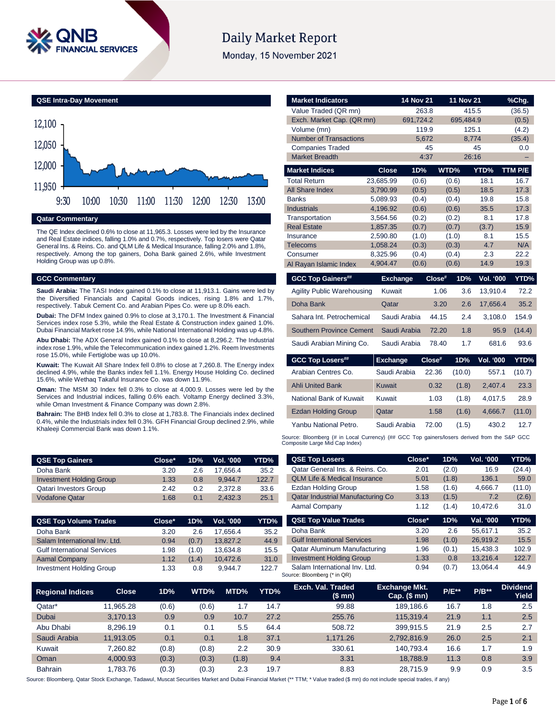

# **Daily Market Report**

Monday, 15 November 2021

**QSE Intra-Day Movement Qatar Commentary** 11,950 12,000 12,050 12,100 9:30 10:00 10:30 11:00 11:30 12:00 12:30 13:00

The QE Index declined 0.6% to close at 11,965.3. Losses were led by the Insurance and Real Estate indices, falling 1.0% and 0.7%, respectively. Top losers were Qatar General Ins. & Reins. Co. and QLM Life & Medical Insurance, falling 2.0% and 1.8%, respectively. Among the top gainers, Doha Bank gained 2.6%, while Investment Holding Group was up 0.8%.

#### **GCC Commentary**

**Saudi Arabia:** The TASI Index gained 0.1% to close at 11,913.1. Gains were led by the Diversified Financials and Capital Goods indices, rising 1.8% and 1.7%, respectively. Tabuk Cement Co. and Arabian Pipes Co. were up 8.0% each.

**Dubai:** The DFM Index gained 0.9% to close at 3,170.1. The Investment & Financial Services index rose 5.3%, while the Real Estate & Construction index gained 1.0%. Dubai Financial Market rose 14.9%, while National International Holding was up 4.8%.

**Abu Dhabi:** The ADX General Index gained 0.1% to close at 8,296.2. The Industrial index rose 1.9%, while the Telecommunication index gained 1.2%. Reem Investments rose 15.0%, while Fertiglobe was up 10.0%.

**Kuwait:** The Kuwait All Share Index fell 0.8% to close at 7,260.8. The Energy index declined 4.9%, while the Banks index fell 1.1%. Energy House Holding Co. declined 15.6%, while Wethaq Takaful Insurance Co. was down 11.9%.

**Oman:** The MSM 30 Index fell 0.3% to close at 4,000.9. Losses were led by the Services and Industrial indices, falling 0.6% each. Voltamp Energy declined 3.3%, while Oman Investment & Finance Company was down 2.8%.

**Bahrain:** The BHB Index fell 0.3% to close at 1,783.8. The Financials index declined 0.4%, while the Industrials index fell 0.3%. GFH Financial Group declined 2.9%, while Khaleeji Commercial Bank was down 1.1%.

| <b>Market Indicators</b>          |                      | <b>14 Nov 21</b> |        | 11 Nov 21      |                  | %Chg.       |
|-----------------------------------|----------------------|------------------|--------|----------------|------------------|-------------|
| Value Traded (QR mn)              |                      | 263.8            |        | 415.5          |                  | (36.5)      |
| Exch. Market Cap. (QR mn)         |                      | 691,724.2        |        | 695,484.9      |                  | (0.5)       |
| Volume (mn)                       |                      | 119.9            |        | 125.1          |                  | (4.2)       |
| <b>Number of Transactions</b>     |                      | 5.672            |        | 8,774          |                  | (35.4)      |
| <b>Companies Traded</b>           |                      |                  | 45     |                | 45               | 0.0         |
| <b>Market Breadth</b>             |                      |                  | 4:37   | 26:16          |                  |             |
| <b>Market Indices</b>             | <b>Close</b>         | 1D%              |        | WTD%           | YTD%             | TTM P/E     |
| <b>Total Return</b>               | 23,685.99            | (0.6)            |        | (0.6)          | 18.1             | 16.7        |
| <b>All Share Index</b>            | 3,790.99             | (0.5)            |        | (0.5)          | 18.5             | 17.3        |
| <b>Banks</b>                      | 5,089.93             | (0.4)            |        | (0.4)          | 19.8             | 15.8        |
| <b>Industrials</b>                | 4,196.92             | (0.6)            |        | (0.6)          | 35.5             | 17.3        |
| Transportation                    | 3,564.56             | (0.2)            |        | (0.2)          | 8.1              | 17.8        |
| <b>Real Estate</b>                | 1,857.35             | (0.7)            |        | (0.7)          | (3.7)            | 15.9        |
| Insurance<br><b>Telecoms</b>      | 2,590.80<br>1,058.24 | (1.0)<br>(0.3)   |        | (1.0)<br>(0.3) | 8.1<br>4.7       | 15.5<br>N/A |
| Consumer                          | 8,325.96             | (0.4)            |        | (0.4)          | 2.3              | 22.2        |
| Al Rayan Islamic Index            | 4,904.47             | (0.6)            |        | (0.6)          | 14.9             | 19.3        |
|                                   |                      |                  |        | 1D%            | Vol. '000        |             |
| <b>GCC Top Gainers##</b>          | <b>Exchange</b>      |                  | Close# |                |                  | YTD%        |
| <b>Agility Public Warehousing</b> | Kuwait               |                  | 1.06   | 3.6            | 13,910.4         | 72.2        |
| Doha Bank                         | Qatar                |                  | 3.20   | 2.6            | 17,656.4         | 35.2        |
| Sahara Int. Petrochemical         |                      | Saudi Arabia     | 44.15  | 2.4            | 3,108.0          | 154.9       |
| <b>Southern Province Cement</b>   |                      | Saudi Arabia     | 72.20  | 1.8            | 95.9             | (14.4)      |
| Saudi Arabian Mining Co.          |                      | Saudi Arabia     | 78.40  | 1.7            | 681.6            | 93.6        |
| <b>GCC Top Losers##</b>           | <b>Exchange</b>      |                  | Close# | 1D%            | <b>Vol. '000</b> | YTD%        |
| Arabian Centres Co.               | Saudi Arabia         |                  | 22.36  | (10.0)         | 557.1            | (10.7)      |
| <b>Ahli United Bank</b>           | Kuwait               |                  | 0.32   | (1.8)          | 2,407.4          | 23.3        |
| National Bank of Kuwait           | Kuwait               |                  | 1.03   | (1.8)          | 4,017.5          | 28.9        |
| <b>Ezdan Holding Group</b>        | Qatar                |                  | 1.58   | (1.6)          | 4,666.7          | (11.0)      |
| Yanbu National Petro.             | Saudi Arabia         |                  | 72.00  | (1.5)          | 430.2            | 12.7        |

Source: Bloomberg (# in Local Currency) (## GCC Top gainers/losers derived from the S&P GCC<br>Composite Large Mid Cap Index)

| <b>QSE Top Gainers</b>          | Close* | 1D% | Vol. <b>'000</b> | YTD%  | <b>QSE Top Losers</b>                    | Close* | 1D%   | <b>Vol. '000</b> | YTD%   |
|---------------------------------|--------|-----|------------------|-------|------------------------------------------|--------|-------|------------------|--------|
| Doha Bank                       | 3.20   | 2.6 | 17.656.4         | 35.2  | Qatar General Ins. & Reins. Co.          | 2.01   | (2.0) | 16.9             | (24.4) |
| <b>Investment Holding Group</b> | 1.33   | 0.8 | 9.944.7          | 122.7 | <b>QLM Life &amp; Medical Insurance</b>  | 5.01   | (1.8) | 136.1            | 59.0   |
| <b>Qatari Investors Group</b>   | 2.42   | 0.2 | 2.372.8          | 33.6  | Ezdan Holding Group                      | 1.58   | (1.6) | 4.666.7          | (11.0) |
| <b>Vodafone Qatar</b>           | 1.68   | 0.1 | 2.432.3          | 25.1  | <b>Qatar Industrial Manufacturing Co</b> | 3.13   | (1.5) | 7.2              | (2.6)  |
|                                 |        |     |                  |       | Aamal Company                            | 1.12   | (1.4) | 10.472.6         | 31.0   |
|                                 |        |     |                  |       |                                          |        |       |                  |        |

| <b>QSE Top Volume Trades</b>       | Close* | 1D%   | <b>Vol. '000</b> | YTD%  | QS             |
|------------------------------------|--------|-------|------------------|-------|----------------|
| Doha Bank                          | 3.20   | 2.6   | 17.656.4         | 35.2  | Dol            |
| Salam International Inv. Ltd.      | 0.94   | (0.7) | 13.827.2         | 44.9  | Gul            |
| <b>Gulf International Services</b> | 1.98   | (1.0) | 13.634.8         | 15.5  | Qat            |
| <b>Aamal Company</b>               | 1.12   | (1.4) | 10.472.6         | 31.0  | Inv            |
| <b>Investment Holding Group</b>    | 1.33   | 0.8   | 9.944.7          | 122.7 | Sal            |
|                                    |        |       |                  |       | <b>Carrona</b> |

| Qatar Industrial Manufacturing Co                            | 3.13   | (1.5) | 7.2       | (2.6) |
|--------------------------------------------------------------|--------|-------|-----------|-------|
| Aamal Company                                                | 1.12   | (1.4) | 10.472.6  | 31.0  |
| <b>QSE Top Value Trades</b>                                  | Close* | 1D%   | Val. '000 | YTD%  |
| Doha Bank                                                    | 3.20   | 2.6   | 55,617.1  | 35.2  |
| <b>Gulf International Services</b>                           | 1.98   | (1.0) | 26.919.2  | 15.5  |
| Qatar Aluminum Manufacturing                                 | 1.96   | (0.1) | 15,438.3  | 102.9 |
| <b>Investment Holding Group</b>                              | 1.33   | 0.8   | 13.216.4  | 122.7 |
| Salam International Inv. Ltd.<br>Source: Bloomberg (* in QR) | 0.94   | (0.7) | 13.064.4  | 44.9  |

| <b>Regional Indices</b> | <b>Close</b> | 1D%   | WTD%  | MTD%  | YTD% | Exch. Val. Traded<br>(\$mn) | <b>Exchange Mkt.</b><br>Cap. $($mn)$ | $P/E***$ | $P/B**$ | <b>Dividend</b><br>Yield |
|-------------------------|--------------|-------|-------|-------|------|-----------------------------|--------------------------------------|----------|---------|--------------------------|
| Qatar*                  | 11.965.28    | (0.6) | (0.6) | 1.7   | 14.7 | 99.88                       | 189.186.6                            | 16.7     | 1.8     | 2.5                      |
| Dubai                   | 3.170.13     | 0.9   | 0.9   | 10.7  | 27.2 | 255.76                      | 115.319.4                            | 21.9     | 1.1     | 2.5                      |
| Abu Dhabi               | 8.296.19     | 0.1   | 0.1   | 5.5   | 64.4 | 508.72                      | 399.915.5                            | 21.9     | 2.5     | 2.7                      |
| Saudi Arabia            | 11.913.05    | 0.1   | 0.1   | 1.8   | 37.1 | 1.171.26                    | 2,792,816.9                          | 26.0     | 2.5     | 2.1                      |
| Kuwait                  | 7.260.82     | (0.8) | (0.8) | 2.2   | 30.9 | 330.61                      | 140.793.4                            | 16.6     | 1.7     | 1.9                      |
| Oman                    | 4.000.93     | (0.3) | (0.3) | (1.8) | 9.4  | 3.31                        | 18.788.9                             | 11.3     | 0.8     | 3.9                      |
| <b>Bahrain</b>          | 1.783.76     | (0.3) | (0.3) | 2.3   | 19.7 | 8.83                        | 28.715.9                             | 9.9      | 0.9     | 3.5                      |

Source: Bloomberg, Qatar Stock Exchange, Tadawul, Muscat Securities Market and Dubai Financial Market (\*\* TTM; \* Value traded (\$ mn) do not include special trades, if any)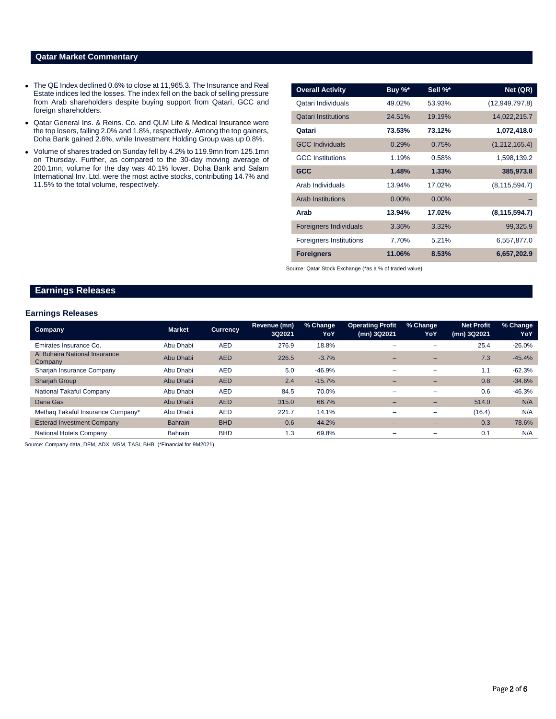# **Qatar Market Commentary**

- The QE Index declined 0.6% to close at 11,965.3. The Insurance and Real Estate indices led the losses. The index fell on the back of selling pressure from Arab shareholders despite buying support from Qatari, GCC and foreign shareholders.
- Qatar General Ins. & Reins. Co. and QLM Life & Medical Insurance were the top losers, falling 2.0% and 1.8%, respectively. Among the top gainers, Doha Bank gained 2.6%, while Investment Holding Group was up 0.8%.
- Volume of shares traded on Sunday fell by 4.2% to 119.9mn from 125.1mn on Thursday. Further, as compared to the 30-day moving average of 200.1mn, volume for the day was 40.1% lower. Doha Bank and Salam International Inv. Ltd. were the most active stocks, contributing 14.7% and 11.5% to the total volume, respectively.

| <b>Overall Activity</b>        | Buy %* | Sell %*  | Net (QR)         |
|--------------------------------|--------|----------|------------------|
| Qatari Individuals             | 49.02% | 53.93%   | (12, 949, 797.8) |
| <b>Qatari Institutions</b>     | 24.51% | 19.19%   | 14,022,215.7     |
| Qatari                         | 73.53% | 73.12%   | 1,072,418.0      |
| <b>GCC Individuals</b>         | 0.29%  | 0.75%    | (1,212,165.4)    |
| <b>GCC</b> Institutions        | 1.19%  | 0.58%    | 1,598,139.2      |
| <b>GCC</b>                     | 1.48%  | 1.33%    | 385,973.8        |
| Arab Individuals               | 13.94% | 17.02%   | (8, 115, 594.7)  |
| <b>Arab Institutions</b>       | 0.00%  | $0.00\%$ |                  |
| Arab                           | 13.94% | 17.02%   | (8, 115, 594.7)  |
| <b>Foreigners Individuals</b>  | 3.36%  | 3.32%    | 99,325.9         |
| <b>Foreigners Institutions</b> | 7.70%  | 5.21%    | 6,557,877.0      |
| <b>Foreigners</b>              | 11.06% | 8.53%    | 6,657,202.9      |

Source: Qatar Stock Exchange (\*as a % of traded value)

# **Earnings Releases**

#### **Earnings Releases**

| <b>Company</b>                           | <b>Market</b>  | <b>Currency</b> | Revenue (mn)<br>3Q2021 | % Change<br>YoY | <b>Operating Profit</b><br>(mn) 3Q2021 | % Change<br>YoY          | <b>Net Profit</b><br>(mn) 3Q2021 | % Change<br>YoY |
|------------------------------------------|----------------|-----------------|------------------------|-----------------|----------------------------------------|--------------------------|----------------------------------|-----------------|
| Emirates Insurance Co.                   | Abu Dhabi      | <b>AED</b>      | 276.9                  | 18.8%           | -                                      |                          | 25.4                             | $-26.0%$        |
| Al Buhaira National Insurance<br>Company | Abu Dhabi      | <b>AED</b>      | 226.5                  | $-3.7%$         |                                        | -                        | 7.3                              | $-45.4%$        |
| Sharjah Insurance Company                | Abu Dhabi      | <b>AED</b>      | 5.0                    | $-46.9%$        |                                        | $\overline{\phantom{a}}$ | 1.1                              | $-62.3%$        |
| <b>Sharjah Group</b>                     | Abu Dhabi      | <b>AED</b>      | 2.4                    | $-15.7%$        |                                        |                          | 0.8                              | $-34.6%$        |
| National Takaful Company                 | Abu Dhabi      | <b>AED</b>      | 84.5                   | 70.0%           | -                                      | $\overline{\phantom{0}}$ | 0.6                              | $-46.3%$        |
| Dana Gas                                 | Abu Dhabi      | <b>AED</b>      | 315.0                  | 66.7%           |                                        | $\overline{\phantom{0}}$ | 514.0                            | N/A             |
| Methag Takaful Insurance Company*        | Abu Dhabi      | <b>AED</b>      | 221.7                  | 14.1%           | $\overline{\phantom{a}}$               | $\overline{\phantom{a}}$ | (16.4)                           | N/A             |
| <b>Esterad Investment Company</b>        | <b>Bahrain</b> | <b>BHD</b>      | 0.6                    | 44.2%           |                                        | -                        | 0.3                              | 78.6%           |
| National Hotels Company                  | <b>Bahrain</b> | <b>BHD</b>      | 1.3                    | 69.8%           |                                        | $\overline{\phantom{0}}$ | 0.1                              | N/A             |

Source: Company data, DFM, ADX, MSM, TASI, BHB. (\*Financial for 9M2021)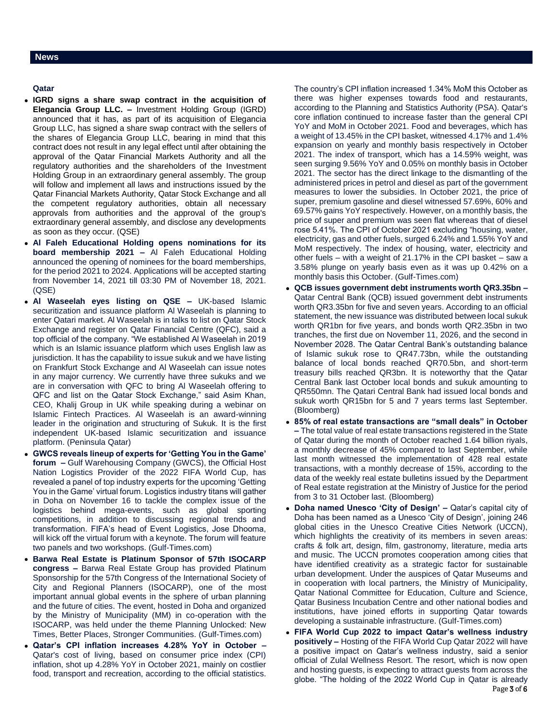### **News**

# **Qatar**

- **IGRD signs a share swap contract in the acquisition of Elegancia Group LLC. –** Investment Holding Group (IGRD) announced that it has, as part of its acquisition of Elegancia Group LLC, has signed a share swap contract with the sellers of the shares of Elegancia Group LLC, bearing in mind that this contract does not result in any legal effect until after obtaining the approval of the Qatar Financial Markets Authority and all the regulatory authorities and the shareholders of the Investment Holding Group in an extraordinary general assembly. The group will follow and implement all laws and instructions issued by the Qatar Financial Markets Authority, Qatar Stock Exchange and all the competent regulatory authorities, obtain all necessary approvals from authorities and the approval of the group's extraordinary general assembly, and disclose any developments as soon as they occur. (QSE)
- **Al Faleh Educational Holding opens nominations for its board membership 2021 –** Al Faleh Educational Holding announced the opening of nominees for the board memberships, for the period 2021 to 2024. Applications will be accepted starting from November 14, 2021 till 03:30 PM of November 18, 2021. (QSE)
- **Al Waseelah eyes listing on QSE –** UK-based Islamic securitization and issuance platform Al Waseelah is planning to enter Qatari market. Al Waseelah is in talks to list on Qatar Stock Exchange and register on Qatar Financial Centre (QFC), said a top official of the company. "We established Al Waseelah in 2019 which is an Islamic issuance platform which uses English law as jurisdiction. It has the capability to issue sukuk and we have listing on Frankfurt Stock Exchange and Al Waseelah can issue notes in any major currency. We currently have three sukuks and we are in conversation with QFC to bring Al Waseelah offering to QFC and list on the Qatar Stock Exchange," said Asim Khan, CEO, Khalij Group in UK while speaking during a webinar on Islamic Fintech Practices. Al Waseelah is an award-winning leader in the origination and structuring of Sukuk. It is the first independent UK-based Islamic securitization and issuance platform. (Peninsula Qatar)
- **GWCS reveals lineup of experts for 'Getting You in the Game' forum –** Gulf Warehousing Company (GWCS), the Official Host Nation Logistics Provider of the 2022 FIFA World Cup, has revealed a panel of top industry experts for the upcoming 'Getting You in the Game' virtual forum. Logistics industry titans will gather in Doha on November 16 to tackle the complex issue of the logistics behind mega-events, such as global sporting competitions, in addition to discussing regional trends and transformation. FIFA's head of Event Logistics, Jose Dhooma, will kick off the virtual forum with a keynote. The forum will feature two panels and two workshops. (Gulf-Times.com)
- **Barwa Real Estate is Platinum Sponsor of 57th ISOCARP congress –** Barwa Real Estate Group has provided Platinum Sponsorship for the 57th Congress of the International Society of City and Regional Planners (ISOCARP), one of the most important annual global events in the sphere of urban planning and the future of cities. The event, hosted in Doha and organized by the Ministry of Municipality (MM) in co-operation with the ISOCARP, was held under the theme Planning Unlocked: New Times, Better Places, Stronger Communities. (Gulf-Times.com)
- **Qatar's CPI inflation increases 4.28% YoY in October –** Qatar's cost of living, based on consumer price index (CPI) inflation, shot up 4.28% YoY in October 2021, mainly on costlier food, transport and recreation, according to the official statistics.

The country's CPI inflation increased 1.34% MoM this October as there was higher expenses towards food and restaurants, according to the Planning and Statistics Authority (PSA). Qatar's core inflation continued to increase faster than the general CPI YoY and MoM in October 2021. Food and beverages, which has a weight of 13.45% in the CPI basket, witnessed 4.17% and 1.4% expansion on yearly and monthly basis respectively in October 2021. The index of transport, which has a 14.59% weight, was seen surging 9.56% YoY and 0.05% on monthly basis in October 2021. The sector has the direct linkage to the dismantling of the administered prices in petrol and diesel as part of the government measures to lower the subsidies. In October 2021, the price of super, premium gasoline and diesel witnessed 57.69%, 60% and 69.57% gains YoY respectively. However, on a monthly basis, the price of super and premium was seen flat whereas that of diesel rose 5.41%. The CPI of October 2021 excluding "housing, water, electricity, gas and other fuels, surged 6.24% and 1.55% YoY and MoM respectively. The index of housing, water, electricity and other fuels – with a weight of 21.17% in the CPI basket – saw a 3.58% plunge on yearly basis even as it was up 0.42% on a monthly basis this October. (Gulf-Times.com)

- **QCB issues government debt instruments worth QR3.35bn –** Qatar Central Bank (QCB) issued government debt instruments worth QR3.35bn for five and seven years. According to an official statement, the new issuance was distributed between local sukuk worth QR1bn for five years, and bonds worth QR2.35bn in two tranches, the first due on November 11, 2026, and the second in November 2028. The Qatar Central Bank's outstanding balance of Islamic sukuk rose to QR47.73bn, while the outstanding balance of local bonds reached QR70.5bn, and short-term treasury bills reached QR3bn. It is noteworthy that the Qatar Central Bank last October local bonds and sukuk amounting to QR550mn. The Qatari Central Bank had issued local bonds and sukuk worth QR15bn for 5 and 7 years terms last September. (Bloomberg)
- **85% of real estate transactions are "small deals" in October –** The total value of real estate transactions registered in the State of Qatar during the month of October reached 1.64 billion riyals, a monthly decrease of 45% compared to last September, while last month witnessed the implementation of 428 real estate transactions, with a monthly decrease of 15%, according to the data of the weekly real estate bulletins issued by the Department of Real estate registration at the Ministry of Justice for the period from 3 to 31 October last. (Bloomberg)
- **Doha named Unesco 'City of Design' –** Qatar's capital city of Doha has been named as a Unesco 'City of Design', joining 246 global cities in the Unesco Creative Cities Network (UCCN), which highlights the creativity of its members in seven areas: crafts & folk art, design, film, gastronomy, literature, media arts and music. The UCCN promotes cooperation among cities that have identified creativity as a strategic factor for sustainable urban development. Under the auspices of Qatar Museums and in cooperation with local partners, the Ministry of Municipality, Qatar National Committee for Education, Culture and Science, Qatar Business Incubation Centre and other national bodies and institutions, have joined efforts in supporting Qatar towards developing a sustainable infrastructure. (Gulf-Times.com)
- Page 3 of 6 **FIFA World Cup 2022 to impact Qatar's wellness industry positively –** Hosting of the FIFA World Cup Qatar 2022 will have a positive impact on Qatar's wellness industry, said a senior official of Zulal Wellness Resort. The resort, which is now open and hosting guests, is expecting to attract guests from across the globe. "The holding of the 2022 World Cup in Qatar is already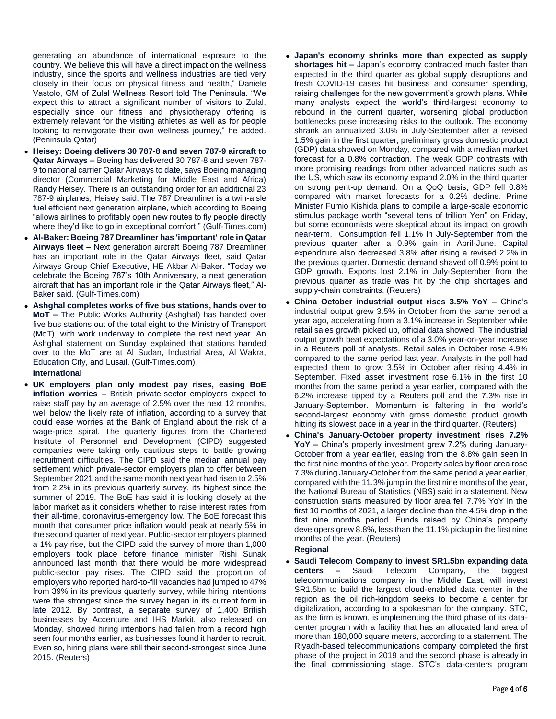generating an abundance of international exposure to the country. We believe this will have a direct impact on the wellness industry, since the sports and wellness industries are tied very closely in their focus on physical fitness and health," Daniele Vastolo, GM of Zulal Wellness Resort told The Peninsula. "We expect this to attract a significant number of visitors to Zulal, especially since our fitness and physiotherapy offering is extremely relevant for the visiting athletes as well as for people looking to reinvigorate their own wellness journey," he added. (Peninsula Qatar)

- **Heisey: Boeing delivers 30 787-8 and seven 787-9 aircraft to Qatar Airways –** Boeing has delivered 30 787-8 and seven 787- 9 to national carrier Qatar Airways to date, says Boeing managing director (Commercial Marketing for Middle East and Africa) Randy Heisey. There is an outstanding order for an additional 23 787-9 airplanes, Heisey said. The 787 Dreamliner is a twin-aisle fuel efficient next generation airplane, which according to Boeing "allows airlines to profitably open new routes to fly people directly where they'd like to go in exceptional comfort." (Gulf-Times.com)
- **Al-Baker: Boeing 787 Dreamliner has 'important' role in Qatar Airways fleet –** Next generation aircraft Boeing 787 Dreamliner has an important role in the Qatar Airways fleet, said Qatar Airways Group Chief Executive, HE Akbar Al-Baker. "Today we celebrate the Boeing 787's 10th Anniversary, a next generation aircraft that has an important role in the Qatar Airways fleet," Al-Baker said. (Gulf-Times.com)
- **Ashghal completes works of five bus stations, hands over to MoT –** The Public Works Authority (Ashghal) has handed over five bus stations out of the total eight to the Ministry of Transport (MoT), with work underway to complete the rest next year. An Ashghal statement on Sunday explained that stations handed over to the MoT are at Al Sudan, Industrial Area, Al Wakra, Education City, and Lusail. (Gulf-Times.com) **International**
- **UK employers plan only modest pay rises, easing BoE inflation worries –** British private-sector employers expect to raise staff pay by an average of 2.5% over the next 12 months, well below the likely rate of inflation, according to a survey that could ease worries at the Bank of England about the risk of a wage-price spiral. The quarterly figures from the Chartered Institute of Personnel and Development (CIPD) suggested companies were taking only cautious steps to battle growing recruitment difficulties. The CIPD said the median annual pay settlement which private-sector employers plan to offer between September 2021 and the same month next year had risen to 2.5% from 2.2% in its previous quarterly survey, its highest since the summer of 2019. The BoE has said it is looking closely at the labor market as it considers whether to raise interest rates from their all-time, coronavirus-emergency low. The BoE forecast this month that consumer price inflation would peak at nearly 5% in the second quarter of next year. Public-sector employers planned a 1% pay rise, but the CIPD said the survey of more than 1,000 employers took place before finance minister Rishi Sunak announced last month that there would be more widespread
	- public-sector pay rises. The CIPD said the proportion of employers who reported hard-to-fill vacancies had jumped to 47% from 39% in its previous quarterly survey, while hiring intentions were the strongest since the survey began in its current form in late 2012. By contrast, a separate survey of 1,400 British businesses by Accenture and IHS Markit, also released on Monday, showed hiring intentions had fallen from a record high seen four months earlier, as businesses found it harder to recruit. Even so, hiring plans were still their second-strongest since June 2015. (Reuters)
- **Japan's economy shrinks more than expected as supply shortages hit –** Japan's economy contracted much faster than expected in the third quarter as global supply disruptions and fresh COVID-19 cases hit business and consumer spending, raising challenges for the new government's growth plans. While many analysts expect the world's third-largest economy to rebound in the current quarter, worsening global production bottlenecks pose increasing risks to the outlook. The economy shrank an annualized 3.0% in July-September after a revised 1.5% gain in the first quarter, preliminary gross domestic product (GDP) data showed on Monday, compared with a median market forecast for a 0.8% contraction. The weak GDP contrasts with more promising readings from other advanced nations such as the US, which saw its economy expand 2.0% in the third quarter on strong pent-up demand. On a QoQ basis, GDP fell 0.8% compared with market forecasts for a 0.2% decline. Prime Minister Fumio Kishida plans to compile a large-scale economic stimulus package worth "several tens of trillion Yen" on Friday, but some economists were skeptical about its impact on growth near-term. Consumption fell 1.1% in July-September from the previous quarter after a 0.9% gain in April-June. Capital expenditure also decreased 3.8% after rising a revised 2.2% in the previous quarter. Domestic demand shaved off 0.9% point to GDP growth. Exports lost 2.1% in July-September from the previous quarter as trade was hit by the chip shortages and supply-chain constraints. (Reuters)
- **China October industrial output rises 3.5% YoY –** China's industrial output grew 3.5% in October from the same period a year ago, accelerating from a 3.1% increase in September while retail sales growth picked up, official data showed. The industrial output growth beat expectations of a 3.0% year-on-year increase in a Reuters poll of analysts. Retail sales in October rose 4.9% compared to the same period last year. Analysts in the poll had expected them to grow 3.5% in October after rising 4.4% in September. Fixed asset investment rose 6.1% in the first 10 months from the same period a year earlier, compared with the 6.2% increase tipped by a Reuters poll and the 7.3% rise in January-September. Momentum is faltering in the world's second-largest economy with gross domestic product growth hitting its slowest pace in a year in the third quarter. (Reuters)
- **China's January-October property investment rises 7.2% YoY –** China's property investment grew 7.2% during January-October from a year earlier, easing from the 8.8% gain seen in the first nine months of the year. Property sales by floor area rose 7.3% during January-October from the same period a year earlier, compared with the 11.3% jump in the first nine months of the year, the National Bureau of Statistics (NBS) said in a statement. New construction starts measured by floor area fell 7.7% YoY in the first 10 months of 2021, a larger decline than the 4.5% drop in the first nine months period. Funds raised by China's property developers grew 8.8%, less than the 11.1% pickup in the first nine months of the year. (Reuters)

# **Regional**

 **Saudi Telecom Company to invest SR1.5bn expanding data centers –** Saudi Telecom Company, the biggest telecommunications company in the Middle East, will invest SR1.5bn to build the largest cloud-enabled data center in the region as the oil rich-kingdom seeks to become a center for digitalization, according to a spokesman for the company. STC, as the firm is known, is implementing the third phase of its datacenter program with a facility that has an allocated land area of more than 180,000 square meters, according to a statement. The Riyadh-based telecommunications company completed the first phase of the project in 2019 and the second phase is already in the final commissioning stage. STC's data-centers program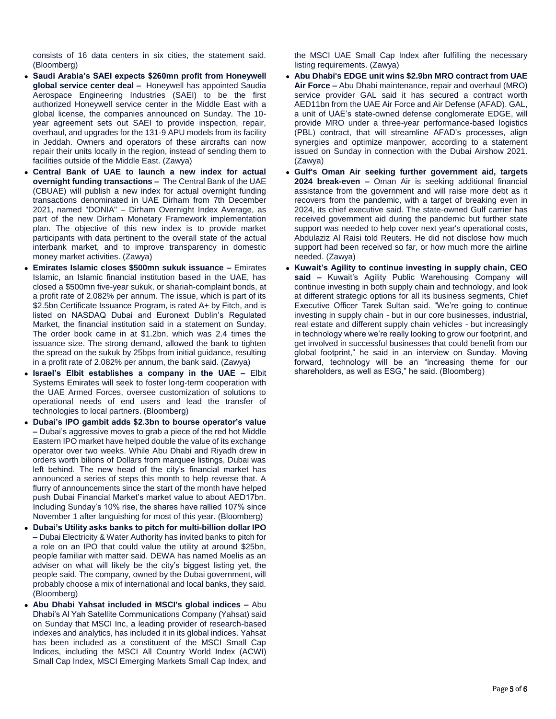consists of 16 data centers in six cities, the statement said. (Bloomberg)

- **Saudi Arabia's SAEI expects \$260mn profit from Honeywell global service center deal –** Honeywell has appointed Saudia Aerospace Engineering Industries (SAEI) to be the first authorized Honeywell service center in the Middle East with a global license, the companies announced on Sunday. The 10 year agreement sets out SAEI to provide inspection, repair, overhaul, and upgrades for the 131-9 APU models from its facility in Jeddah. Owners and operators of these aircrafts can now repair their units locally in the region, instead of sending them to facilities outside of the Middle East. (Zawya)
- **Central Bank of UAE to launch a new index for actual overnight funding transactions –** The Central Bank of the UAE (CBUAE) will publish a new index for actual overnight funding transactions denominated in UAE Dirham from 7th December 2021, named "DONIA" – Dirham Overnight Index Average, as part of the new Dirham Monetary Framework implementation plan. The objective of this new index is to provide market participants with data pertinent to the overall state of the actual interbank market, and to improve transparency in domestic money market activities. (Zawya)
- **Emirates Islamic closes \$500mn sukuk issuance –** Emirates Islamic, an Islamic financial institution based in the UAE, has closed a \$500mn five-year sukuk, or shariah-complaint bonds, at a profit rate of 2.082% per annum. The issue, which is part of its \$2.5bn Certificate Issuance Program, is rated A+ by Fitch, and is listed on NASDAQ Dubai and Euronext Dublin's Regulated Market, the financial institution said in a statement on Sunday. The order book came in at \$1.2bn, which was 2.4 times the issuance size. The strong demand, allowed the bank to tighten the spread on the sukuk by 25bps from initial guidance, resulting in a profit rate of 2.082% per annum, the bank said. (Zawya)
- **Israel's Elbit establishes a company in the UAE –** Elbit Systems Emirates will seek to foster long-term cooperation with the UAE Armed Forces, oversee customization of solutions to operational needs of end users and lead the transfer of technologies to local partners. (Bloomberg)
- **Dubai's IPO gambit adds \$2.3bn to bourse operator's value –** Dubai's aggressive moves to grab a piece of the red hot Middle Eastern IPO market have helped double the value of its exchange operator over two weeks. While Abu Dhabi and Riyadh drew in orders worth bilions of Dollars from marquee listings, Dubai was left behind. The new head of the city's financial market has announced a series of steps this month to help reverse that. A flurry of announcements since the start of the month have helped push Dubai Financial Market's market value to about AED17bn. Including Sunday's 10% rise, the shares have rallied 107% since November 1 after languishing for most of this year. (Bloomberg)
- **Dubai's Utility asks banks to pitch for multi-billion dollar IPO –** Dubai Electricity & Water Authority has invited banks to pitch for a role on an IPO that could value the utility at around \$25bn, people familiar with matter said. DEWA has named Moelis as an adviser on what will likely be the city's biggest listing yet, the people said. The company, owned by the Dubai government, will probably choose a mix of international and local banks, they said. (Bloomberg)
- **Abu Dhabi Yahsat included in MSCI's global indices –** Abu Dhabi's Al Yah Satellite Communications Company (Yahsat) said on Sunday that MSCI Inc, a leading provider of research-based indexes and analytics, has included it in its global indices. Yahsat has been included as a constituent of the MSCI Small Cap Indices, including the MSCI All Country World Index (ACWI) Small Cap Index, MSCI Emerging Markets Small Cap Index, and

the MSCI UAE Small Cap Index after fulfilling the necessary listing requirements. (Zawya)

- **Abu Dhabi's EDGE unit wins \$2.9bn MRO contract from UAE Air Force –** Abu Dhabi maintenance, repair and overhaul (MRO) service provider GAL said it has secured a contract worth AED11bn from the UAE Air Force and Air Defense (AFAD). GAL, a unit of UAE's state-owned defense conglomerate EDGE, will provide MRO under a three-year performance-based logistics (PBL) contract, that will streamline AFAD's processes, align synergies and optimize manpower, according to a statement issued on Sunday in connection with the Dubai Airshow 2021. (Zawya)
- **Gulf's Oman Air seeking further government aid, targets 2024 break-even –** Oman Air is seeking additional financial assistance from the government and will raise more debt as it recovers from the pandemic, with a target of breaking even in 2024, its chief executive said. The state-owned Gulf carrier has received government aid during the pandemic but further state support was needed to help cover next year's operational costs, Abdulaziz Al Raisi told Reuters. He did not disclose how much support had been received so far, or how much more the airline needed. (Zawya)
- **Kuwait's Agility to continue investing in supply chain, CEO said –** Kuwait's Agility Public Warehousing Company will continue investing in both supply chain and technology, and look at different strategic options for all its business segments, Chief Executive Officer Tarek Sultan said. "We're going to continue investing in supply chain - but in our core businesses, industrial, real estate and different supply chain vehicles - but increasingly in technology where we're really looking to grow our footprint, and get involved in successful businesses that could benefit from our global footprint," he said in an interview on Sunday. Moving forward, technology will be an "increasing theme for our shareholders, as well as ESG," he said. (Bloomberg)